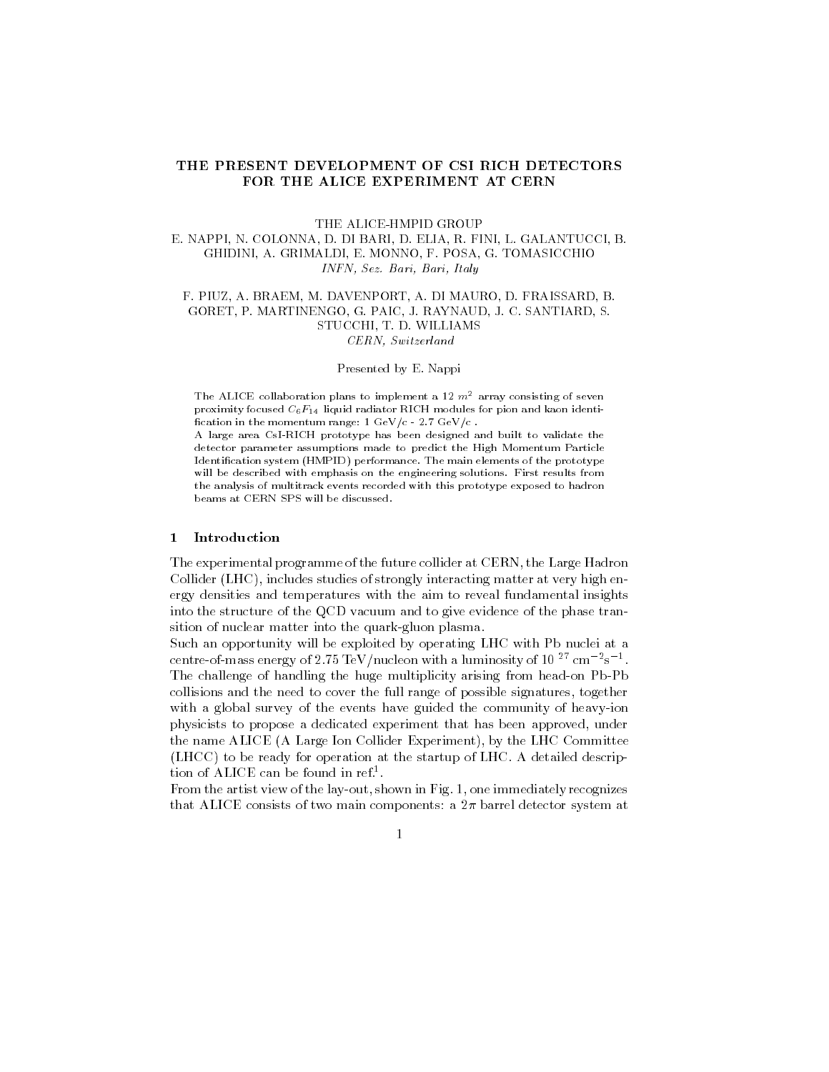# THE PRESENT DEVELOPMENT OF CSI RICH DETECTORS FOR THE ALICE EXPERIMENT AT CERN

### THE ALICE-HMPID GROUP

# E. NAPPI, N. COLONNA, D. DI BARI, D. ELIA, R. FINI, L. GALANTUCCI, B. GHIDINI, A. GRIMALDI, E. MONNO, F. POSA, G. TOMASICCHIO INFN, Sez. Bari, Bari, Italy

## F. PIUZ, A. BRAEM, M. DAVENPORT, A. DI MAURO, D. FRAISSARD, B. GORET, P. MARTINENGO, G. PAIC, J. RAYNAUD, J. C. SANTIARD, S. STUCCHI, T. D. WILLIAMS CERN, Switzerland

#### Presented by E. Nappi

The ALICE collaboration plans to implement a 12  $m^2$  array consisting of seven proximity focused  $C_6F_{14}$  liquid radiator RICH modules for pion and kaon identification in the momentum range:  $1 \text{ GeV}/c - 2.7 \text{ GeV}/c$ .

A large area CsI-RICH prototype has been designed and built to validate the detector parameter assumptions made to predict the High Momentum Particle Identication system (HMPID) performance. The main elements of the prototype will be described with emphasis on the engineering solutions. First results from the analysis of multitrack events recorded with this prototype exposed to hadron beams at CERN SPS will be discussed.

# 1 Introduction

The experimental programme of the future collider at CERN, the Large Hadron Collider (LHC), includes studies of strongly interacting matter at very high energy densities and temperatures with the aim to reveal fundamental insights into the structure of the QCD vacuum and to give evidence of the phase transition of nuclear matter into the quark-gluon plasma.

Such an opportunity will be exploited by operating LHC with Pb nuclei at a centre-of-mass energy of 2.75 TeV/nucleon with a luminosity of 10 <sup>27</sup> cm = 8 <sup>2</sup>. The challenge of handling the huge multiplicity arising from head-on Pb-Pb collisions and the need to cover the full range of possible signatures, together with a global survey of the events have guided the community of heavy-ion physicists to propose a dedicated experiment that has been approved, under the name ALICE (A Large Ion Collider Experiment), by the LHC Committee (LHCC) to be ready for operation at the startup of LHC. A detailed description of ALICE can be found in ref.1 .

From the artist view of the lay-out, shown in Fig. 1, one immediately recognizes that ALICE consists of two main components: a  $2\pi$  barrel detector system at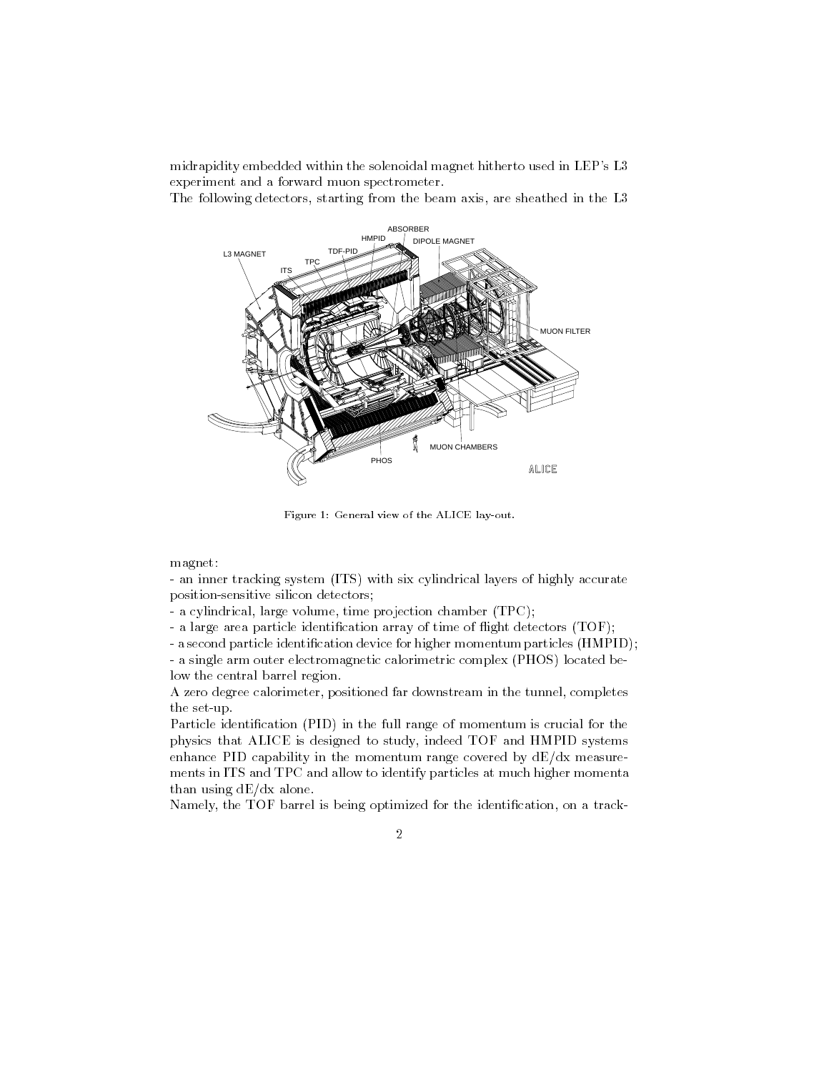midrapidity embedded within the solenoidal magnet hitherto used in LEP's L3 experiment and a forward muon spectrometer.

The following detectors, starting from the beam axis, are sheathed in the L3



Figure 1: General view of the ALICE lay-out.

magnet:

- an inner tracking system (ITS) with six cylindrical layers of highly accurate position-sensitive silicon detectors;

- a cylindrical, large volume, time projection chamber (TPC);

- a large area particle identification array of time of flight detectors (TOF);

- a second particle identification device for higher momentum particles (HMPID); - a single arm outer electromagnetic calorimetric complex (PHOS) located below the central barrel region.

A zero degree calorimeter, positioned far downstream in the tunnel, completes the set-up.

Particle identification (PID) in the full range of momentum is crucial for the physics that ALICE is designed to study, indeed TOF and HMPID systems enhance PID capability in the momentum range covered by  $dE/dx$  measurements in ITS and TPC and allow to identify particles at much higher momenta than using dE/dx alone.

Namely, the TOF barrel is being optimized for the identification, on a track-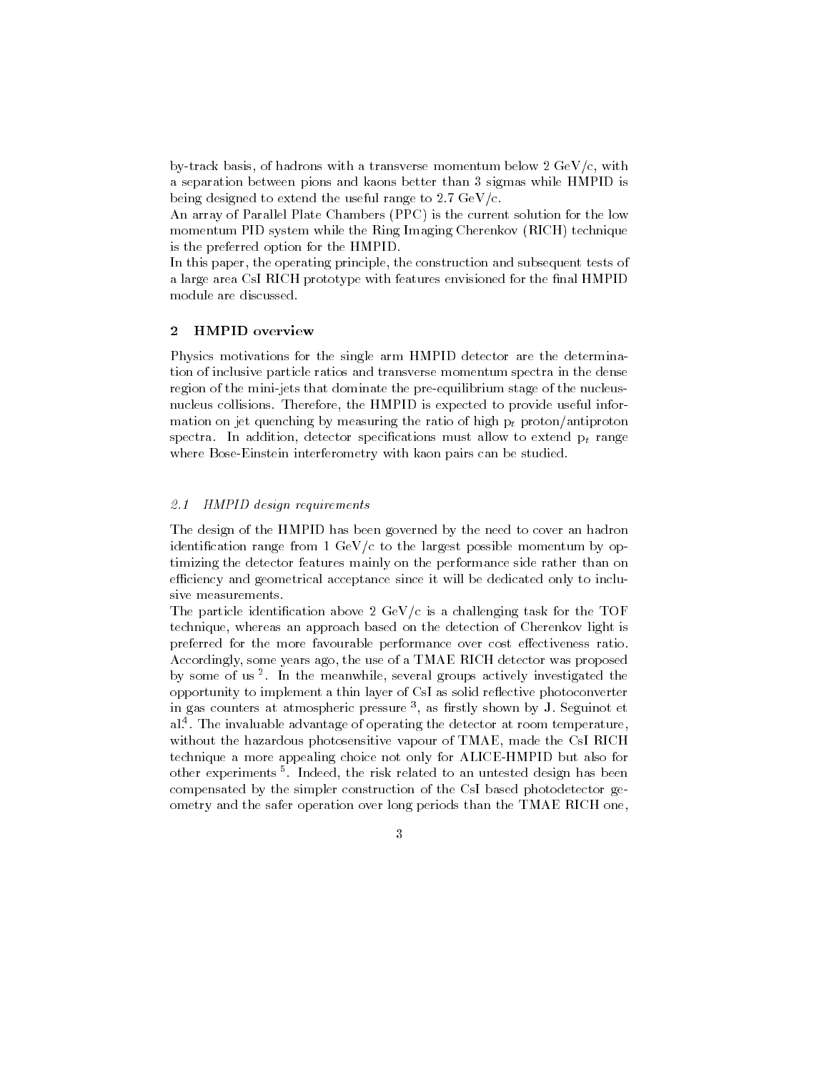by-track basis, of hadrons with a transverse momentum below  $2 \text{ GeV}/c$ , with a separation between pions and kaons better than 3 sigmas while HMPID is being designed to extend the useful range to  $2.7 \text{ GeV/c}$ .

An array of Parallel Plate Chambers (PPC) is the current solution for the low momentum PID system while the Ring Imaging Cherenkov (RICH) technique is the preferred option for the HMPID.

In this paper, the operating principle, the construction and subsequent tests of a large area CsI RICH prototype with features envisioned for the final HMPID module are discussed.

#### **HMPID** overview  $\overline{2}$

Physics motivations for the single arm HMPID detector are the determination of inclusive particle ratios and transverse momentum spectra in the dense region of the mini-jets that dominate the pre-equilibrium stage of the nucleusnucleus collisions. Therefore, the HMPID is expected to provide useful information on jet quenching by measuring the ratio of high  $p_t$  proton/antiproton spectra. In addition, detector specifications must allow to extend  $p_t$  range where Bose-Einstein interferometry with kaon pairs can be studied.

### $z_{i}$ i HMID design requirements  $z_{i}$

The design of the HMPID has been governed by the need to cover an hadron identification range from  $1 \text{ GeV}/c$  to the largest possible momentum by optimizing the detector features mainly on the performance side rather than on efficiency and geometrical acceptance since it will be dedicated only to inclusive measurements.

The particle identification above  $2 \text{ GeV/c}$  is a challenging task for the TOF technique, whereas an approach based on the detection of Cherenkov light is preferred for the more favourable performance over cost effectiveness ratio. Accordingly, some years ago, the use of a TMAE RICH detector was proposed by some of us <sup>-</sup>. In the meanwhile, several groups actively investigated the opportunity to implement a thin layer of CsI as solid reflective photoconverter in gas counters at atmospheric pressure ", as firstly shown by J. Seguinot et an al. . The invaluable advantage of operating the detector at room temperature,  $\blacksquare$ without the hazardous photosensitive vapour of TMAE, made the CsI RICH technique a more appealing choice not only for ALICE-HMPID but also for other experiments <sup>5</sup> . Indeed, the risk related to an untested design has been compensated by the simpler construction of the CsI based photodetector geometry and the safer operation over long periods than the TMAE RICH one,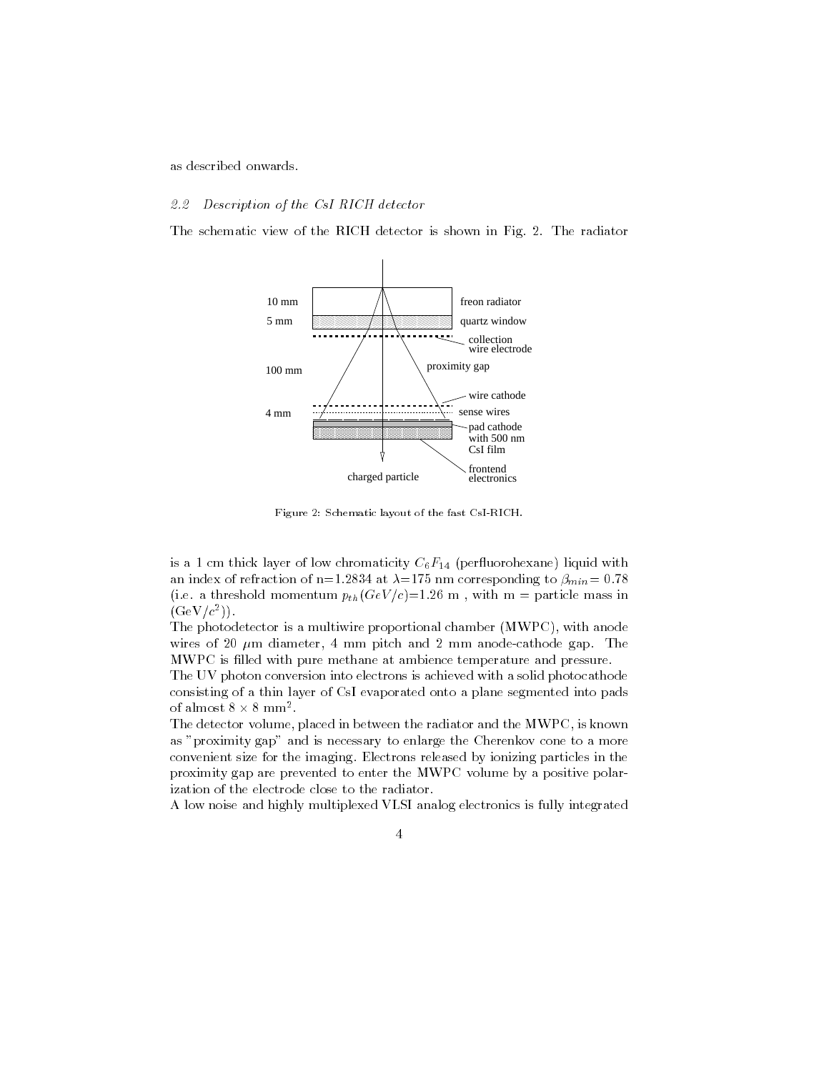as described onwards.

### $\omega \omega$  description of the CsI RICH detector

The schematic view of the RICH detector is shown in Fig. 2. The radiator



Figure 2: Schematic layout of the fast CsI-RICH.

is a 1 cm thick layer of low chromaticity  $C_6F_{14}$  (perfluorohexane) liquid with an index of refraction of n=1.2834 at  $\lambda$ =175 nm corresponding to  $\beta_{min}$  = 0.78 (i.e. a threshold momentum  $p_{th}(GeV/c)=1.26$  m, with m = particle mass in  $\left( \frac{1}{2}C + C^{-1} \right)$ .

The photodetector is a multiwire proportional chamber (MWPC), with anode wires of 20  $\mu$ m diameter, 4 mm pitch and 2 mm anode-cathode gap. The MWPC is filled with pure methane at ambience temperature and pressure.

The UV photon conversion into electrons is achieved with a solid photocathode consisting of a thin layer of CsI evaporated onto a plane segmented into pads of almost 8  $\times$  8 mm  $\overline{\phantom{a}}$  .

The detector volume, placed in between the radiator and the MWPC, is known as "proximity gap" and is necessary to enlarge the Cherenkov cone to a more convenient size for the imaging. Electrons released by ionizing particles in the proximity gap are prevented to enter the MWPC volume by a positive polarization of the electrode close to the radiator.

A low noise and highly multiplexed VLSI analog electronics is fully integrated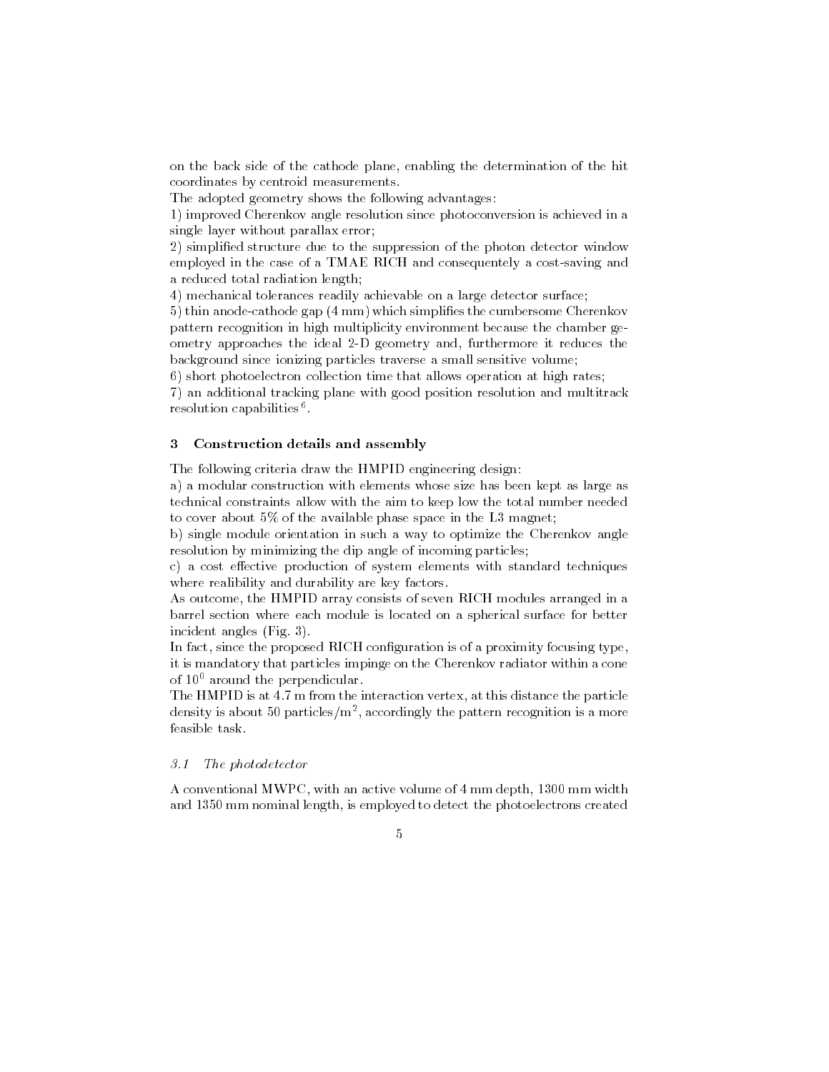on the back side of the cathode plane, enabling the determination of the hit coordinates by centroid measurements.

The adopted geometry shows the following advantages:

1) improved Cherenkov angle resolution since photoconversion is achieved in a single layer without parallax error;

2) simplied structure due to the suppression of the photon detector window employed in the case of a TMAE RICH and consequentely a cost-saving and a reduced total radiation length: a reduced to talk the control radiation length; and the control radiation length; and the control radiation le

4) mechanical tolerances readily achievable on a large detector surface;

5) thin anode-cathode gap (4 mm) which simplifies the cumbersome Cherenkov pattern recognition in high multiplicity environment because the chamber geometry approaches the ideal 2-D geometry and, furthermore it reduces the background since ionizing particles traverse a small sensitive volume;

6) short photoelectron collection time that allows operation at high rates;

7) an additional tracking plane with good position resolution and multitrack resolution capabilities .

#### $\mathbf{3}$ Construction details and assembly

The following criteria draw the HMPID engineering design:

a) a modular construction with elements whose size has been kept as large as technical constraints allow with the aim to keep low the total number needed to cover about 5% of the available phase space in the L3 magnet;

b) single module orientation in such a way to optimize the Cherenkov angle resolution by minimizing the dip angle of incoming particles;

c) a cost effective production of system elements with standard techniques where realibility and durability are key factors.

As outcome, the HMPID array consists of seven RICH modules arranged in a barrel section where each module is located on a spherical surface for better incident angles (Fig. 3).

In fact, since the proposed RICH configuration is of a proximity focusing type, it is mandatory that particles impinge on the Cherenkov radiator within a cone of  $10^0$  around the perpendicular.

The HMPID is at 4.7 m from the interaction vertex, at this distance the particle density is about 50 particles/m2 , accordingly the pattern recognition is a more feasible task.

### $3.1$  The photodetector

A conventional MWPC, with an active volume of 4 mm depth, 1300 mm width and 1350 mm nominal length, is employed to detect the photoelectrons created

 $\overline{5}$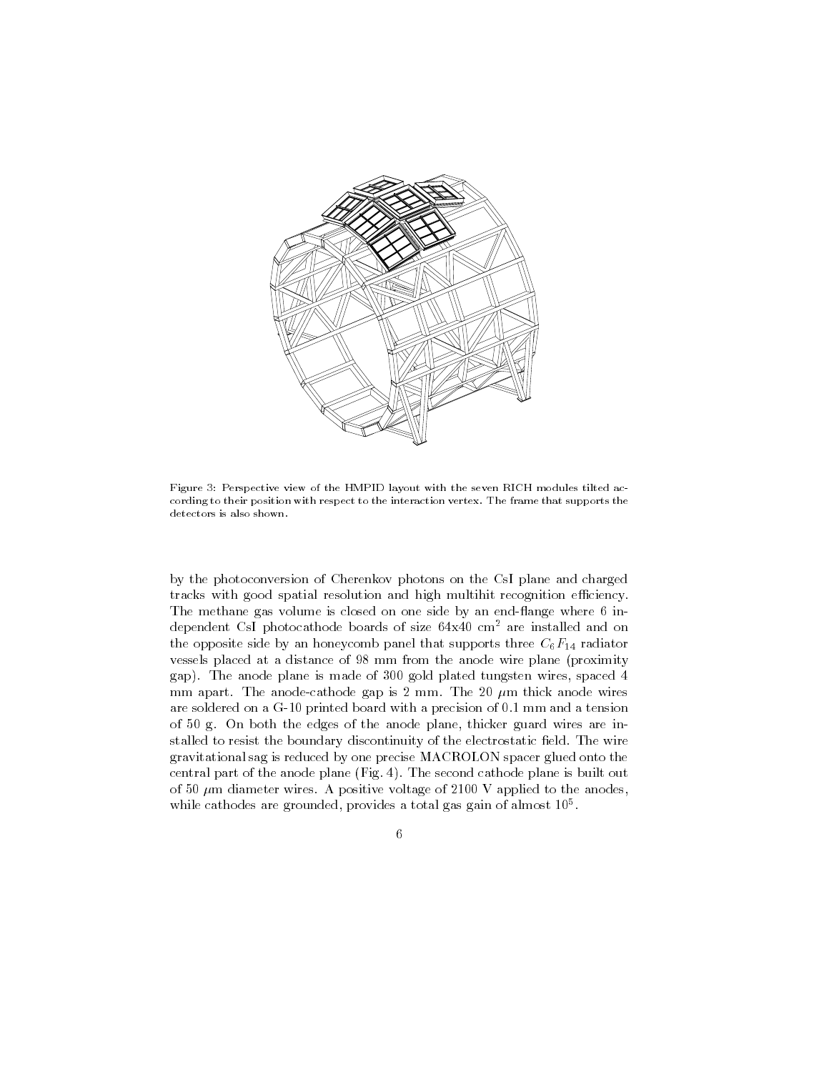

Figure 3: Perspective view of the HMPID layout with the seven RICH modules tilted according to their position with respect to the interaction vertex. The frame that supports the detectors is also shown.

by the photoconversion of Cherenkov photons on the CsI plane and charged tracks with good spatial resolution and high multihit recognition efficiency. The methane gas volume is closed on one side by an end-flange where 6 independent CsI photocathode boards of size 64x40 cm2 are installed and on the opposite side by an honeycomb panel that supports three  $C_6F_{14}$  radiator vessels placed at a distance of 98 mm from the anode wire plane (proximity gap). The anode plane is made of 300 gold plated tungsten wires, spaced 4 mm apart. The anode-cathode gap is 2 mm. The 20  $\mu$ m thick anode wires are soldered on a G-10 printed board with a precision of 0.1 mm and a tension of 50 g. On both the edges of the anode plane, thicker guard wires are installed to resist the boundary discontinuity of the electrostatic field. The wire gravitational sag is reduced by one precise MACROLON spacer glued onto the central part of the anode plane (Fig. 4). The second cathode plane is built out of 50  $\mu$ m diameter wires. A positive voltage of 2100 V applied to the anodes, while cathodes are grounded, provides a total gas gain of almost 105 .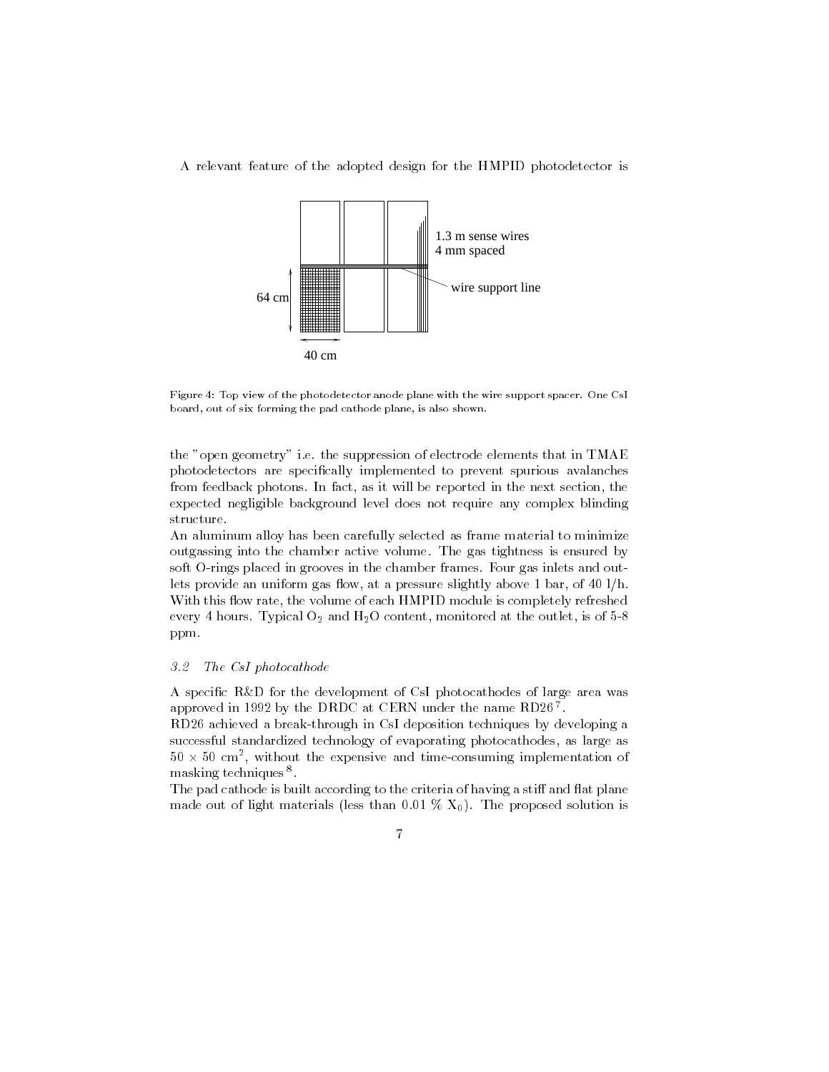



Figure 4: Top view of the photodetector anode plane with the wire support spacer. One CsI board, out of six forming the pad cathode plane, is also shown.

the "open geometry" i.e. the suppression of electrode elements that in TMAE photodetectors are specically implemented to prevent spurious avalanches from feedback photons. In fact, as it will be reported in the next section, the expected negligible background level does not require any complex blinding structure.

An aluminum alloy has been carefully selected as frame material to minimize outgassing into the chamber active volume. The gas tightness is ensured by soft O-rings placed in grooves in the chamber frames. Four gas inlets and outlets provide an uniform gas flow, at a pressure slightly above 1 bar, of 40 l/h. With this flow rate, the volume of each HMPID module is completely refreshed every 4 hours. Typical  $O_2$  and  $H_2O$  content, monitored at the outlet, is of 5-8 ppm.

#### 3.2The CsI photocathode

A specic R&D for the development of CsI photocathodes of large area was approved in 1992 by the DRDC at CERN under the name RD20  $^\circ$  .

RD26 achieved a break-through in CsI deposition techniques by developing a successful standardized technology of evaporating photocathodes, as large as  $50 \times 50$  cm $^{-1}$ , without the expensive and time-consuming implementation of  $^{-1}$ masking techniques <sup>8</sup> .

The pad cathode is built according to the criteria of having a stiff and flat plane made out of light materials (less than 0.01 %  $X_0$ ). The proposed solution is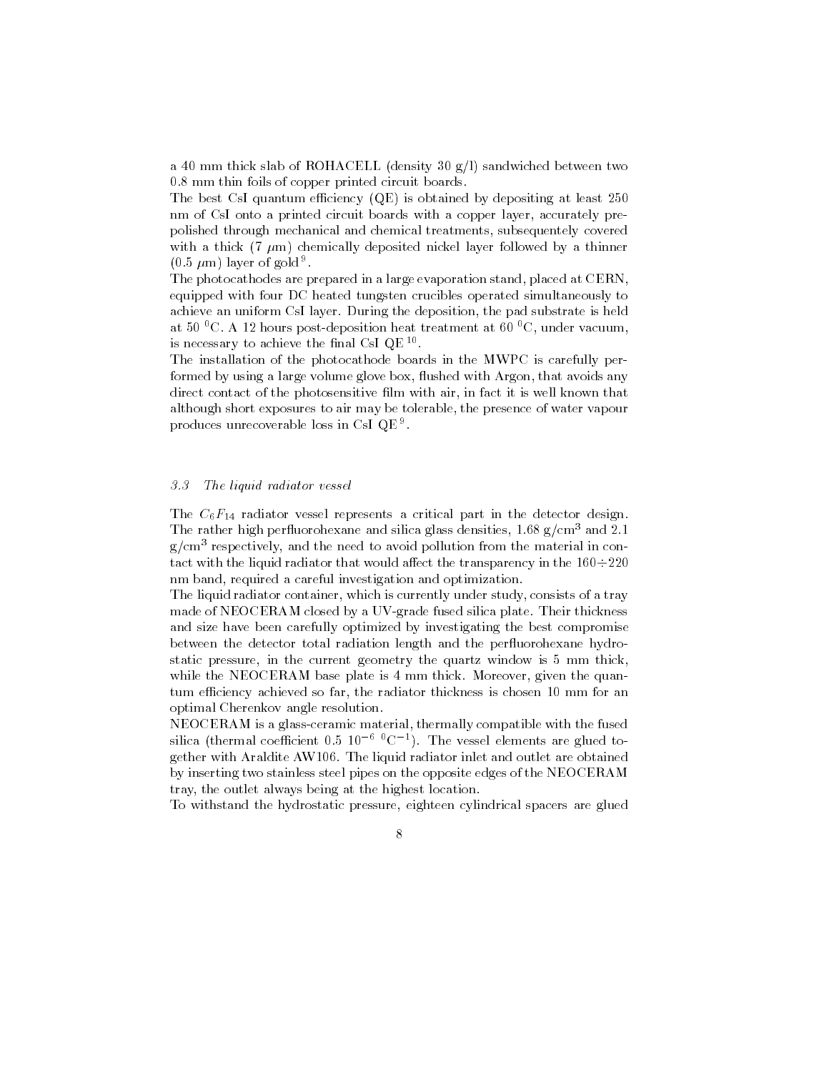a 40 mm thick slab of ROHACELL (density 30  $g/l$ ) sandwiched between two 0.8 mm thin foils of copper printed circuit boards.

The best CsI quantum efficiency  $(QE)$  is obtained by depositing at least 250 nm of CsI onto a printed circuit boards with a copper layer, accurately prepolished through mechanical and chemical treatments, subsequentely covered with a thick (7  $\mu$ m) chemically deposited nickel layer followed by a thinner  $(0.5 \mu m)$  layer of gold <sup>9</sup>.

.The photocathodes are prepared in a large evaporation stand, placed at CERN, equipped with four DC heated tungsten crucibles operated simultaneously to achieve an uniform CsI layer. During the deposition, the pad substrate is held at 50  $\rm{^0C}$ . A 12 hours post-deposition heat treatment at 60  $\rm{^0C}$ , under vacuum, is necessary to achieve the final Usi QE  $^{\circ}$  .

The installation of the photocathode boards in the MWPC is carefully performed by using a large volume glove box, flushed with Argon, that avoids any direct contact of the photosensitive film with air, in fact it is well known that although short exposures to air may be tolerable, the presence of water vapour produces unrecoverable loss in CsI QE <sup>9</sup> .

#### 3.3The liquid radiator vessel

The  $C_6F_{14}$  radiator vessel represents a critical part in the detector design. The rather high perfluorohexane and silica glass densities,  $1.68 \text{ g/cm}^3$  and  $2.1$ g/cm3 respectively, and the need to avoid pollution from the material in contact with the liquid radiator that would affect the transparency in the  $160 \div 220$ nm band, required a careful investigation and optimization.

The liquid radiator container, which is currently under study, consists of a tray made of NEOCERAM closed by a UV-grade fused silica plate. Their thickness and size have been carefully optimized by investigating the best compromise between the detector total radiation length and the per
uorohexane hydrostatic pressure, in the current geometry the quartz window is 5 mm thick, while the NEOCERAM base plate is 4 mm thick. Moreover, given the quantum efficiency achieved so far, the radiator thickness is chosen 10 mm for an optimal Cherenkov angle resolution.

NEOCERAM is a glass-ceramic material, thermally compatible with the fused silica (thermal coefficient 0.5  $10\,$   $^\circ$  C  $^+$ ). The vessel elements are glued together with Araldite AW106. The liquid radiator inlet and outlet are obtained by inserting two stainless steel pipes on the opposite edges of the NEOCERAM tray, the outlet always being at the highest location.

To withstand the hydrostatic pressure, eighteen cylindrical spacers are glued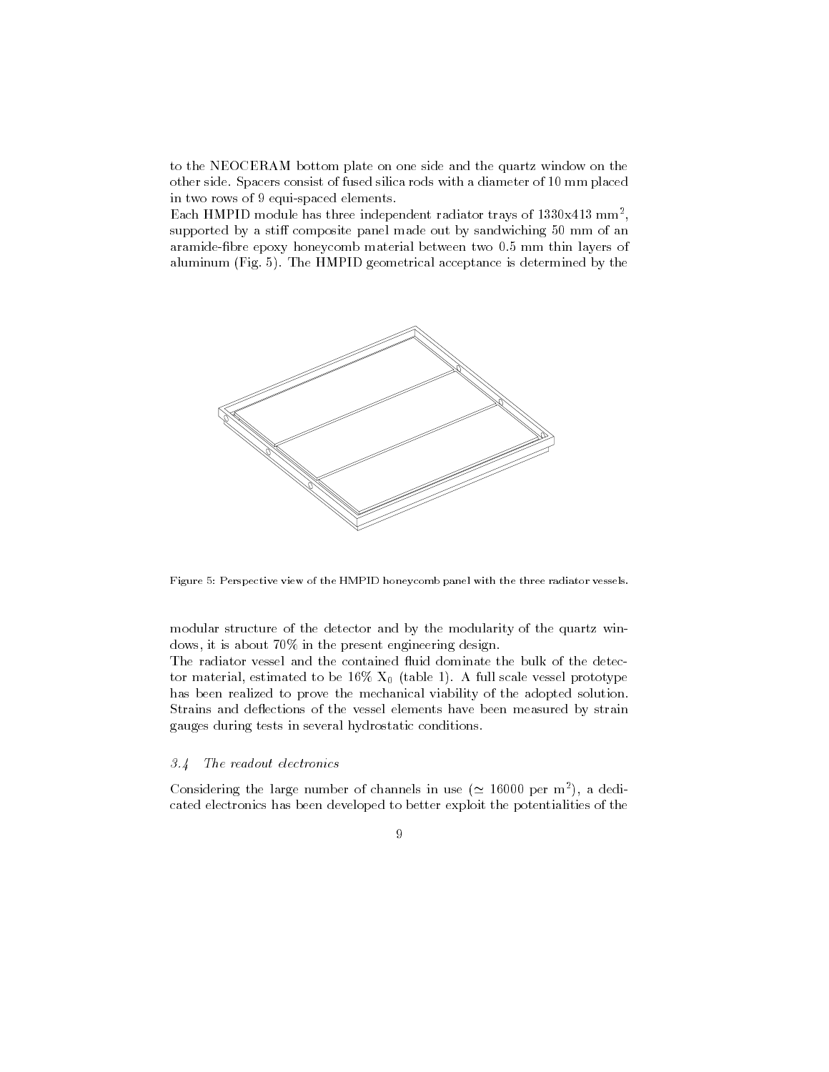to the NEOCERAM bottom plate on one side and the quartz window on the other side. Spacers consist of fused silica rods with a diameter of 10 mm placed in two rows of 9 equi-spaced elements.

Each HMPID module has three independent radiator trays of 1330x413 mm2 , supported by a stiff composite panel made out by sandwiching 50 mm of an aramide-bre epoxy honeycomb material between two 0.5 mm thin layers of aluminum (Fig. 5). The HMPID geometrical acceptance is determined by the



Figure 5: Perspective view of the HMPID honeycomb panel with the three radiator vessels.

modular structure of the detector and by the modularity of the quartz windows, it is about 70% in the present engineering design.

The radiator vessel and the contained fluid dominate the bulk of the detector material, estimated to be 16%  $X_0$  (table 1). A full scale vessel prototype has been realized to prove the mechanical viability of the adopted solution. Strains and deflections of the vessel elements have been measured by strain gauges during tests in several hydrostatic conditions.

### 3.4 The readout electronics

Considering the large number of channels in use ( $\simeq$  16000 per m<sup>2</sup>), a dedicated electronics has been developed to better exploit the potentialities of the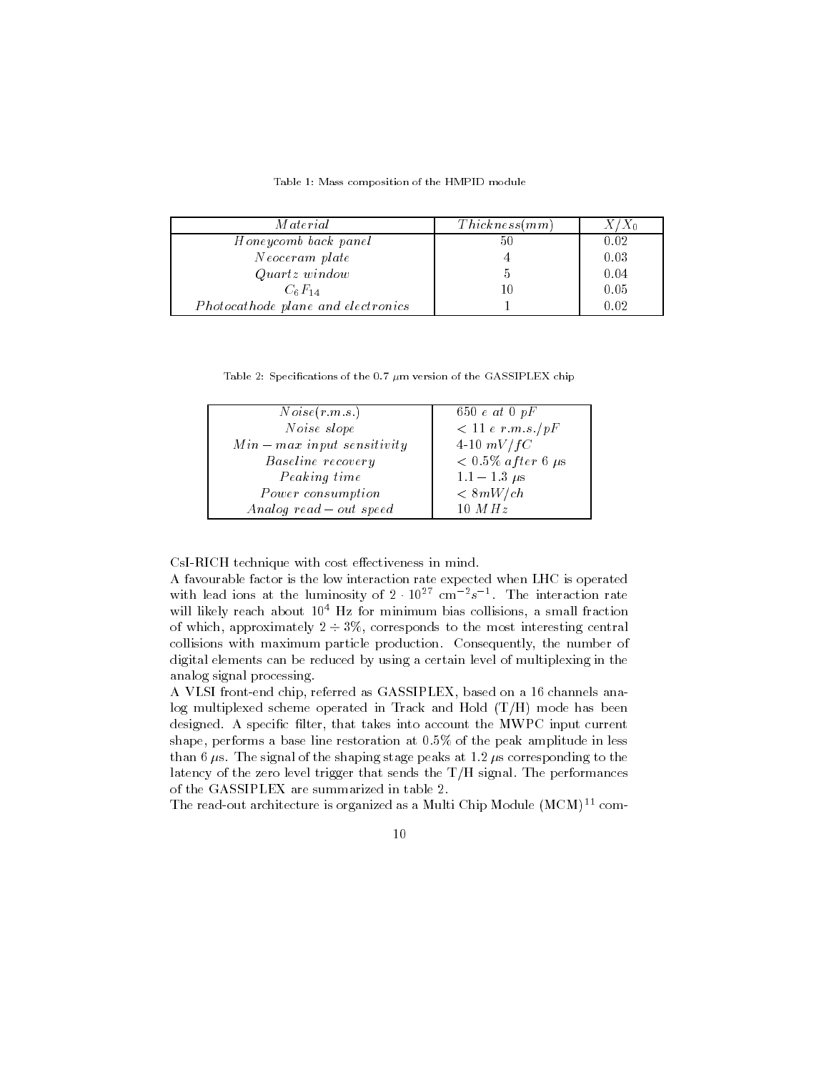Table 1: Mass composition of the HMPID module

| <i>Material</i>                    | Thickness(mm) | $X/X_0$ |
|------------------------------------|---------------|---------|
| Honeycomb back panel               | 50            | 0.02    |
| Neoceram plate                     |               | 0.03    |
| $Quartz$ window                    |               | 0.04    |
| $C_6F_{14}$                        | 10            | 0.05    |
| Photocathode plane and electronics |               | 0.02    |

Table 2: Specifications of the 0.7  $\mu$ m version of the GASSIPLEX chip

| Noise(r.m.s.)               | 650 $e$ at 0 $pF$         |
|-----------------------------|---------------------------|
| Noise slope                 | < 11 e r.m.s./pF          |
| $Min-max input$ sensitivity | 4-10 $mV/fC$              |
| Baseline recovery           | $< 0.5\%$ after 6 $\mu$ s |
| Peaking time                | $1.1 - 1.3 \mu s$         |
| Power consumption           | <8mW/ch                   |
| Analog read $-$ out speed   | 10 $MHz$                  |

CsI-RICH technique with cost effectiveness in mind.

A favourable factor is the low interaction rate expected when LHC is operated with lead ions at the luminosity of  $2\cdot10^{27}$  cm  $^{-2}s^{-2}$ . The interaction rate will likely reach about  $10^4$  Hz for minimum bias collisions, a small fraction of which, approximately  $2 \div 3\%$ , corresponds to the most interesting central collisions with maximum particle production. Consequently, the number of digital elements can be reduced by using a certain level of multiplexing in the analog signal processing.

A VLSI front-end chip, referred as GASSIPLEX, based on a 16 channels analog multiplexed scheme operated in Track and Hold (T/H) mode has been designed. A specific filter, that takes into account the MWPC input current shape, performs a base line restoration at 0.5% of the peak amplitude in less than 6  $\mu$ s. The signal of the shaping stage peaks at 1.2  $\mu$ s corresponding to the latency of the zero level trigger that sends the T/H signal. The performances of the GASSIPLEX are summarized in table 2.

The read-out architecture is organized as a Multi Chip Module (MCM)<sup>11</sup> com-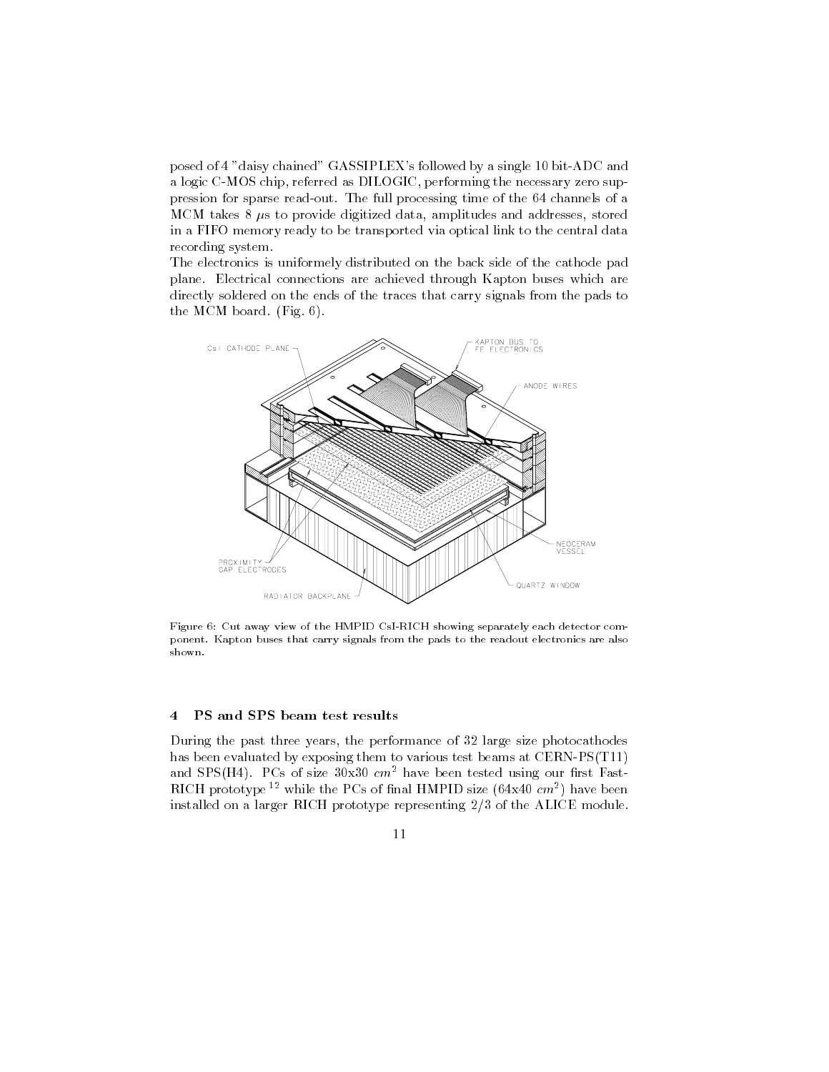posed of 4 "daisy chained" GASSIPLEX's followed by a single 10 bit-ADC and a logic C-MOS chip, referred as DILOGIC, performing the necessary zero suppression for sparse read-out. The full processing time of the 64 channels of a MCM takes  $8 \mu s$  to provide digitized data, amplitudes and addresses, stored in a FIFO memory ready to be transported via optical link to the central data recording system.

The electronics is uniformely distributed on the back side of the cathode pad plane. Electrical connections are achieved through Kapton buses which are directly soldered on the ends of the traces that carry signals from the pads to the MCM board. (Fig. 6).



Figure 6: Cut away view of the HMPID CsI-RICH showing separately each detector component. Kapton buses that carry signals from the pads to the readout electronics are also

#### PS and SPS beam test results  $\overline{4}$

During the past three years, the performance of 32 large size photocathodes has been evaluated by exposing them to various test beams at CERN-PS(T11) and SPS(H4). PCs of size  $30x30$  cm<sup>2</sup> have been tested using our first Fast- $R_{\rm I}$ CH prototype  $^{-1}$  while the PCs of final HMPID size (04x40  $cm^{-}$ ) have been installed on a larger RICH prototype representing 2/3 of the ALICE module.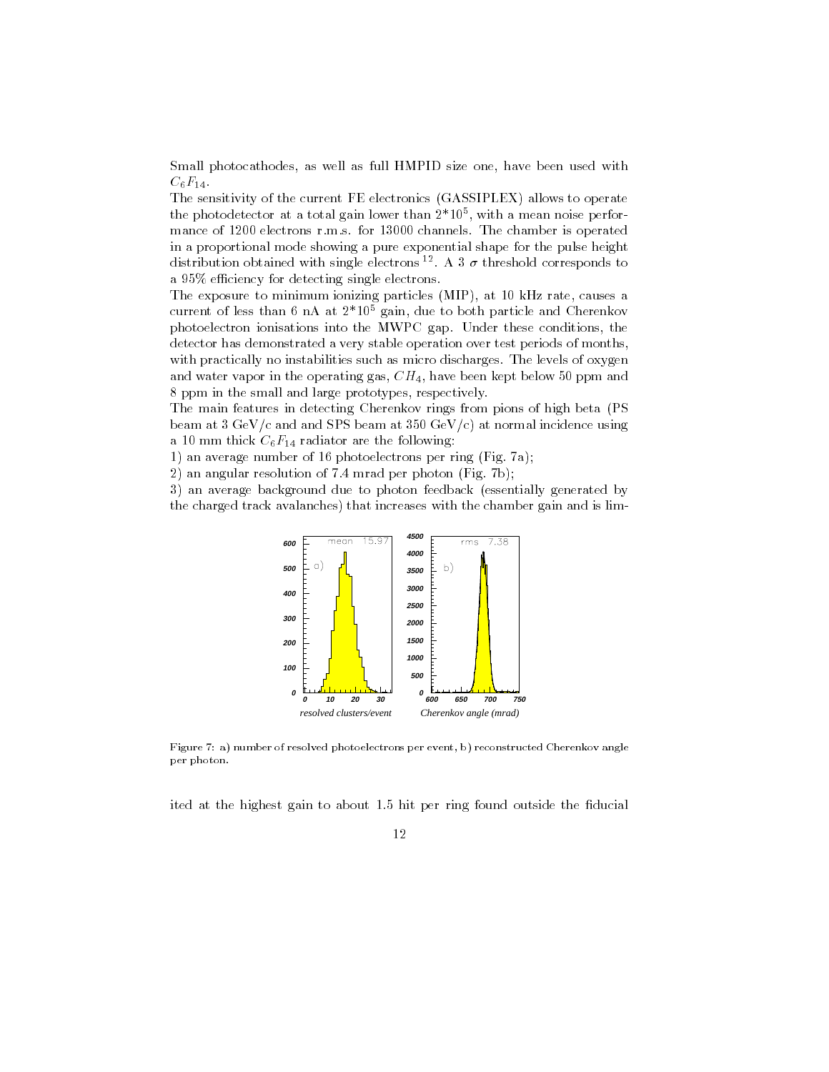Small photocathodes, as well as full HMPID size one, have been used with  $C_6F_{14}$ .

The sensitivity of the current FE electronics (GASSIPLEX) allows to operate the photodetector at a total gain lower than 2\*105 , with a mean noise performance of 1200 electrons r.m.s. for 13000 channels. The chamber is operated in a proportional mode showing a pure exponential shape for the pulse height distribution obtained with single electrons <sup>12</sup>. A 3  $\sigma$  threshold corresponds to a 95% efficiency for detecting single electrons.

The exposure to minimum ionizing particles (MIP), at 10 kHz rate, causes a current of less than 6 nA at 2\*105 gain, due to both particle and Cherenkov photoelectron ionisations into the MWPC gap. Under these conditions, the detector has demonstrated a very stable operation over test periods of months, with practically no instabilities such as micro discharges. The levels of oxygen and water vapor in the operating gas,  $CH_4$ , have been kept below 50 ppm and 8 ppm in the small and large prototypes, respectively.

The main features in detecting Cherenkov rings from pions of high beta (PS beam at  $3 \text{ GeV}/c$  and and SPS beam at  $350 \text{ GeV}/c$  at normal incidence using a 10 mm thick  $C_6F_{14}$  radiator are the following:

1) an average number of 16 photoelectrons per ring (Fig. 7a);

2) an angular resolution of 7.4 mrad per photon (Fig. 7b);

3) an average background due to photon feedback (essentially generated by the charged track avalanches) that increases with the chamber gain and is lim-



Figure 7: a) number of resolved photoelectrons per event, b) reconstructed Cherenkov angle per photon.

ited at the highest gain to about 1.5 hit per ring found outside the fiducial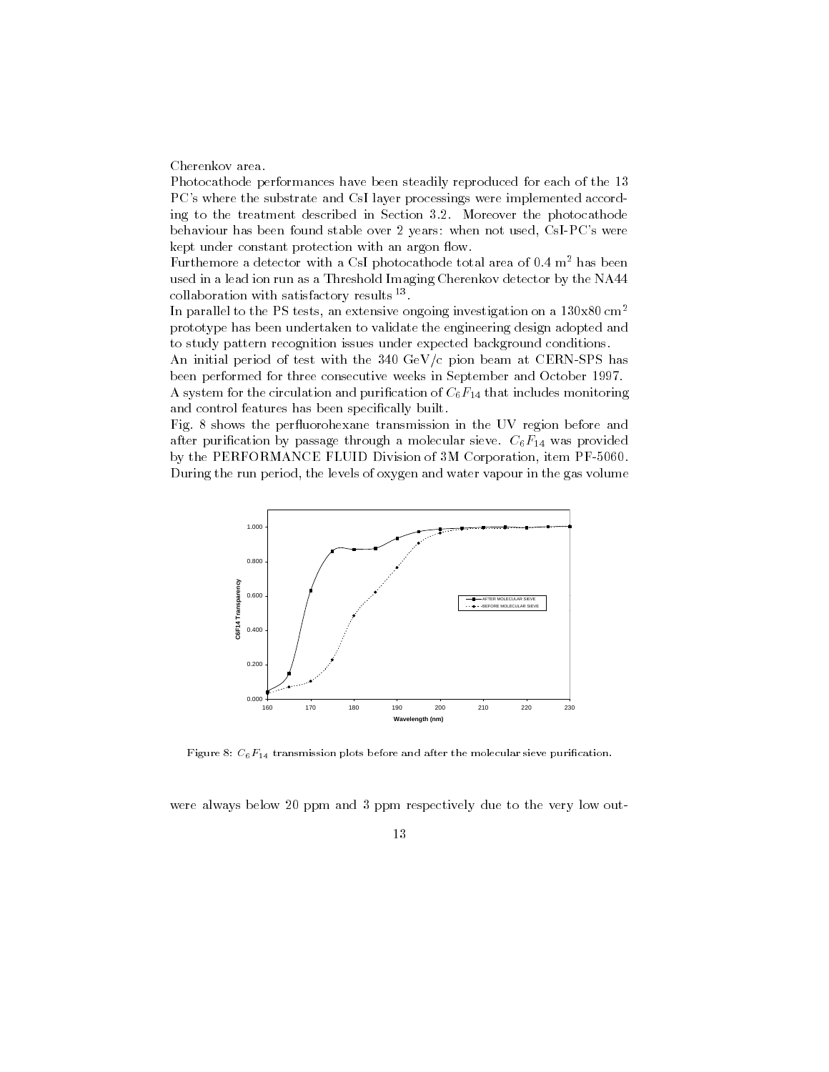Cherenkov area.

Photocathode performances have been steadily reproduced for each of the 13 PC's where the substrate and CsI layer processings were implemented according to the treatment described in Section 3.2. Moreover the photocathode behaviour has been found stable over 2 years: when not used, CsI-PC's were kept under constant protection with an argon flow.

Furthemore a detector with a CsI photocathode total area of  $0.4 \text{ m}^2$  has been used in a lead ion run as a Threshold Imaging Cherenkov detector by the NA44 collaboration with satisfactory results <sup>--</sup>.

In parallel to the PS tests, an extensive ongoing investigation on a 130x80 cm2 prototype has been undertaken to validate the engineering design adopted and to study pattern recognition issues under expected background conditions.

An initial period of test with the 340 GeV/c pion beam at CERN-SPS has been performed for three consecutive weeks in September and October 1997.

A system for the circulation and purification of  $C_6F_{14}$  that includes monitoring and control features has been specifically built.

Fig. 8 shows the perfluorohexane transmission in the UV region before and after purification by passage through a molecular sieve.  $C_6F_{14}$  was provided by the PERFORMANCE FLUID Division of 3M Corporation, item PF-5060. During the run period, the levels of oxygen and water vapour in the gas volume



Figure 8:  $C_6F_{14}$  transmission plots before and after the molecular sieve purification.

were always below 20 ppm and 3 ppm respectively due to the very low out-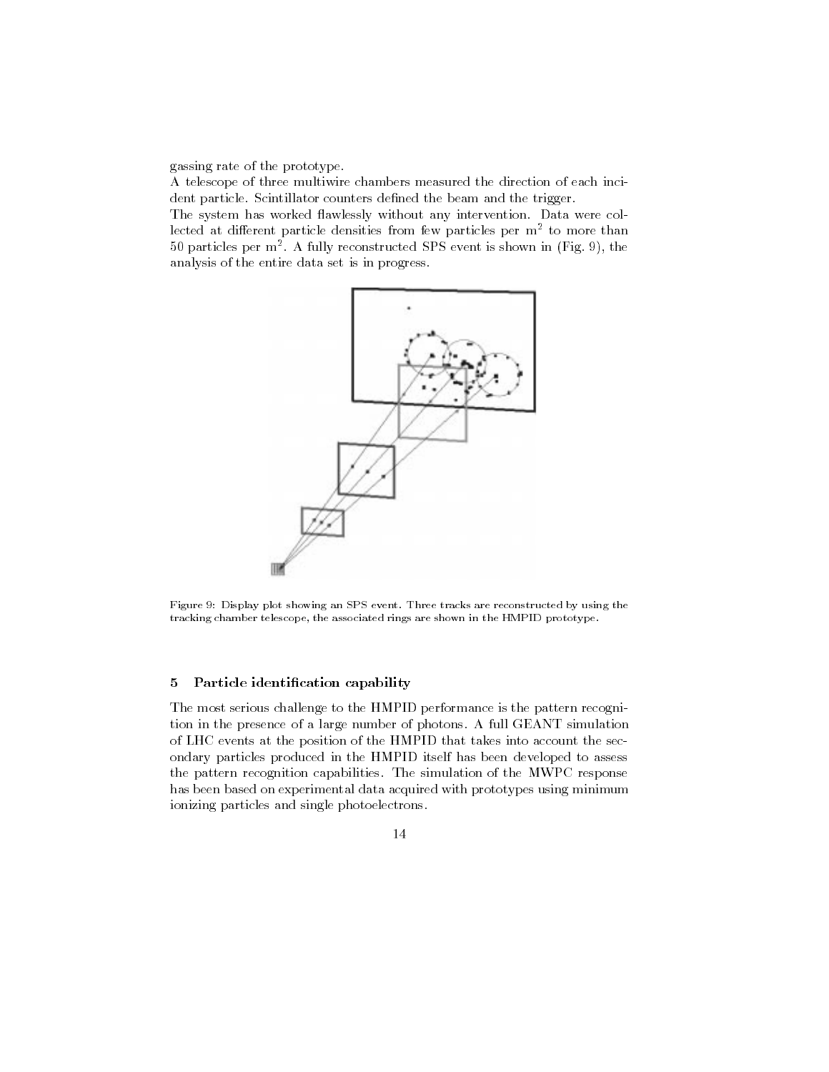gassing rate of the prototype.

A telescope of three multiwire chambers measured the direction of each incident particle. Scintillator counters defined the beam and the trigger.

The system has worked flawlessly without any intervention. Data were collected at different particle densities from few particles per m<sup>2</sup> to more than 50 particles per m2 . A fully reconstructed SPS event is shown in (Fig. 9), the analysis of the entire data set is in progress.



Figure 9: Display plot showing an SPS event. Three tracks are reconstructed by using the tracking chamber telescope, the associated rings are shown in the HMPID prototype.

## 5 Particle identification capability

The most serious challenge to the HMPID performance is the pattern recognition in the presence of a large number of photons. A full GEANT simulation of LHC events at the position of the HMPID that takes into account the secondary particles produced in the HMPID itself has been developed to assess the pattern recognition capabilities. The simulation of the MWPC response has been based on experimental data acquired with prototypes using minimum ionizing particles and single photoelectrons.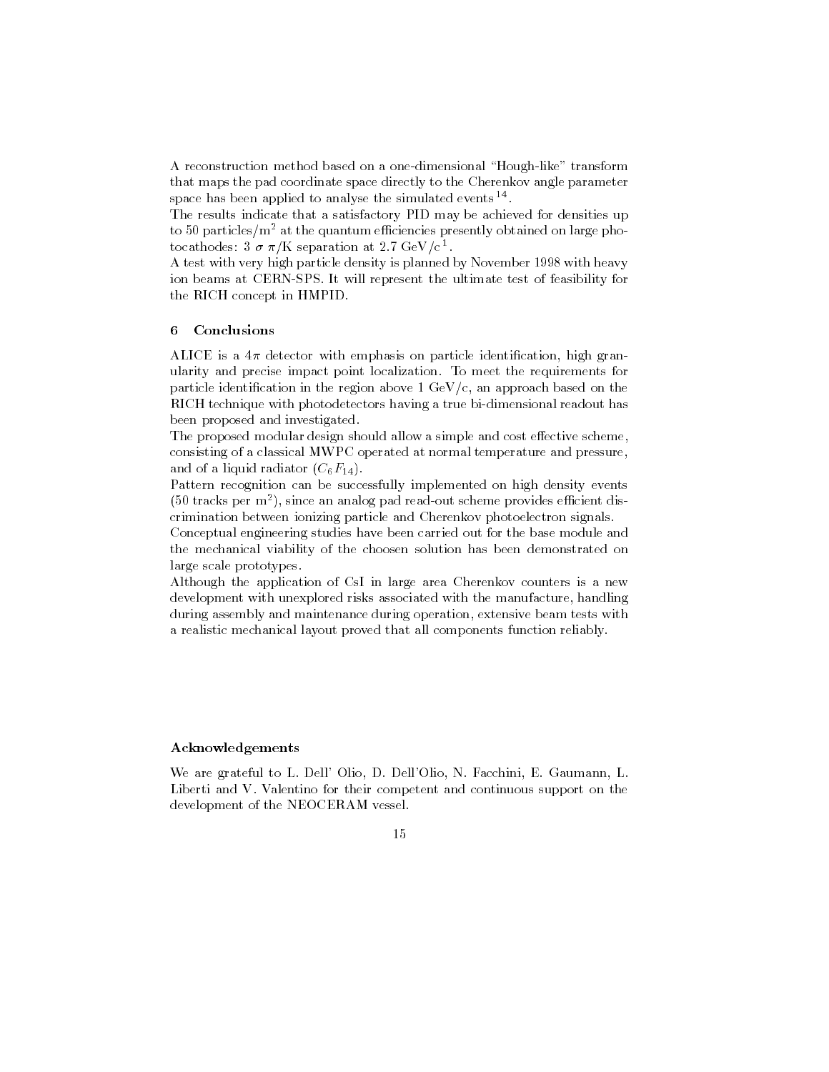A reconstruction method based on a one-dimensional \Hough-like" transform that maps the pad coordinate space directly to the Cherenkov angle parameter space has been applied to analyse the simulated events <sup>--</sup>.

The results indicate that a satisfactory PID may be achieved for densities up to 50 particles/ $m^2$  at the quantum efficiencies presently obtained on large photocathodes:  $3 \sigma \pi / \kappa$  separation at 2.7 GeV/c 1.

A test with very high particle density is planned by November 1998 with heavy ion beams at CERN-SPS. It will represent the ultimate test of feasibility for the RICH concept in HMPID.

## 6 Conclusions

ALICE is a  $4\pi$  detector with emphasis on particle identification, high granularity and precise impact point localization. To meet the requirements for particle identification in the region above  $1 \text{ GeV/c}$ , an approach based on the RICH technique with photodetectors having a true bi-dimensional readout has been proposed and investigated.

The proposed modular design should allow a simple and cost effective scheme, consisting of a classical MWPC operated at normal temperature and pressure, and of a liquid radiator  $(C_6F_{14})$ .

Pattern recognition can be successfully implemented on high density events (50 tracks per m2 ), since an analog pad read-out scheme provides ecient discrimination between ionizing particle and Cherenkov photoelectron signals.

Conceptual engineering studies have been carried out for the base module and the mechanical viability of the choosen solution has been demonstrated on large scale prototypes.

Although the application of CsI in large area Cherenkov counters is a new development with unexplored risks associated with the manufacture, handling during assembly and maintenance during operation, extensive beam tests with a realistic mechanical layout proved that all components function reliably.

## Acknowledgements

We are grateful to L. Dell' Olio, D. Dell'Olio, N. Facchini, E. Gaumann, L. Liberti and V. Valentino for their competent and continuous support on the development of the NEOCERAM vessel.